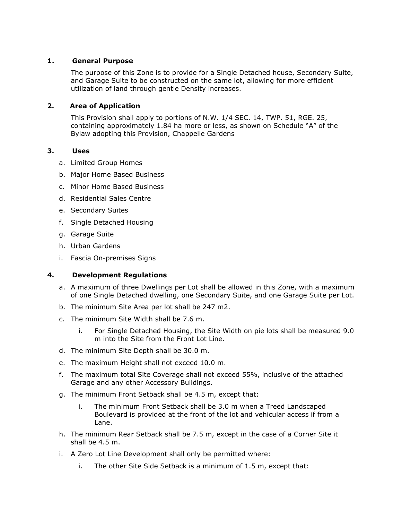## **1. General Purpose**

The purpose of this Zone is to provide for a Single Detached house, Secondary Suite, and Garage Suite to be constructed on the same lot, allowing for more efficient utilization of land through gentle Density increases.

## **2. Area of Application**

This Provision shall apply to portions of N.W. 1/4 SEC. 14, TWP. 51, RGE. 25, containing approximately 1.84 ha more or less, as shown on Schedule "A" of the Bylaw adopting this Provision, Chappelle Gardens

## **3. Uses**

- a. Limited Group Homes
- b. Major Home Based Business
- c. Minor Home Based Business
- d. Residential Sales Centre
- e. Secondary Suites
- f. Single Detached Housing
- g. Garage Suite
- h. Urban Gardens
- i. Fascia On-premises Signs

## **4. Development Regulations**

- a. A maximum of three Dwellings per Lot shall be allowed in this Zone, with a maximum of one Single Detached dwelling, one Secondary Suite, and one Garage Suite per Lot.
- b. The minimum Site Area per lot shall be 247 m2.
- c. The minimum Site Width shall be 7.6 m.
	- i. For Single Detached Housing, the Site Width on pie lots shall be measured 9.0 m into the Site from the Front Lot Line.
- d. The minimum Site Depth shall be 30.0 m.
- e. The maximum Height shall not exceed 10.0 m.
- f. The maximum total Site Coverage shall not exceed 55%, inclusive of the attached Garage and any other Accessory Buildings.
- g. The minimum Front Setback shall be 4.5 m, except that:
	- i. The minimum Front Setback shall be 3.0 m when a Treed Landscaped Boulevard is provided at the front of the lot and vehicular access if from a Lane.
- h. The minimum Rear Setback shall be 7.5 m, except in the case of a Corner Site it shall be 4.5 m.
- i. A Zero Lot Line Development shall only be permitted where:
	- i. The other Site Side Setback is a minimum of 1.5 m, except that: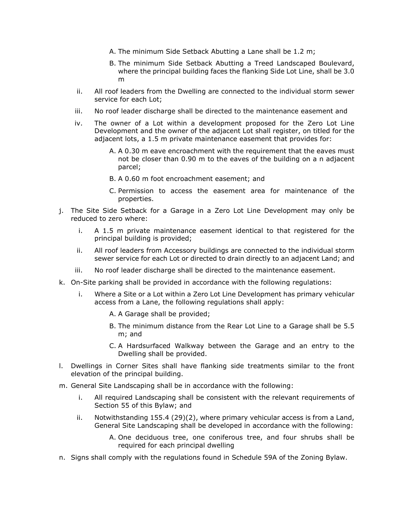- A. The minimum Side Setback Abutting a Lane shall be 1.2 m;
- B. The minimum Side Setback Abutting a Treed Landscaped Boulevard, where the principal building faces the flanking Side Lot Line, shall be 3.0 m
- ii. All roof leaders from the Dwelling are connected to the individual storm sewer service for each Lot;
- iii. No roof leader discharge shall be directed to the maintenance easement and
- iv. The owner of a Lot within a development proposed for the Zero Lot Line Development and the owner of the adjacent Lot shall register, on titled for the adjacent lots, a 1.5 m private maintenance easement that provides for:
	- A. A 0.30 m eave encroachment with the requirement that the eaves must not be closer than 0.90 m to the eaves of the building on a n adjacent parcel;
	- B. A 0.60 m foot encroachment easement; and
	- C. Permission to access the easement area for maintenance of the properties.
- j. The Site Side Setback for a Garage in a Zero Lot Line Development may only be reduced to zero where:
	- i. A 1.5 m private maintenance easement identical to that registered for the principal building is provided;
	- ii. All roof leaders from Accessory buildings are connected to the individual storm sewer service for each Lot or directed to drain directly to an adjacent Land; and
	- iii. No roof leader discharge shall be directed to the maintenance easement.
- k. On-Site parking shall be provided in accordance with the following regulations:
	- i. Where a Site or a Lot within a Zero Lot Line Development has primary vehicular access from a Lane, the following regulations shall apply:
		- A. A Garage shall be provided;
		- B. The minimum distance from the Rear Lot Line to a Garage shall be 5.5 m; and
		- C. A Hardsurfaced Walkway between the Garage and an entry to the Dwelling shall be provided.
- l. Dwellings in Corner Sites shall have flanking side treatments similar to the front elevation of the principal building.
- m. General Site Landscaping shall be in accordance with the following:
	- i. All required Landscaping shall be consistent with the relevant requirements of Section 55 of this Bylaw; and
	- ii. Notwithstanding 155.4 (29)(2), where primary vehicular access is from a Land, General Site Landscaping shall be developed in accordance with the following:
		- A. One deciduous tree, one coniferous tree, and four shrubs shall be required for each principal dwelling
- n. Signs shall comply with the regulations found in Schedule 59A of the Zoning Bylaw.